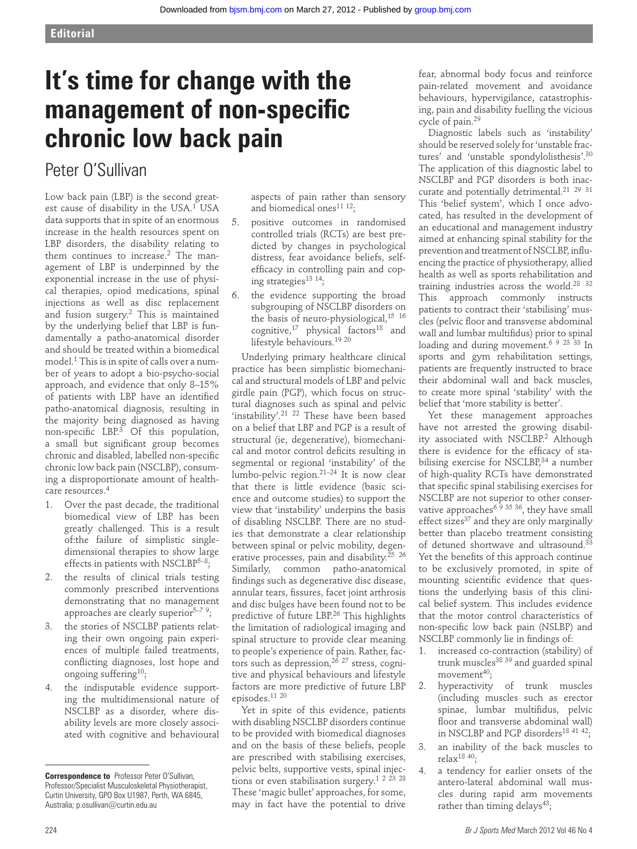# **It's time for change with the management of non-specific chronic low back pain**

## Peter O'Sullivan

Low back pain (LBP) is the second greatest cause of disability in the USA.<sup>1</sup> USA data supports that in spite of an enormous increase in the health resources spent on LBP disorders, the disability relating to them continues to increase.<sup>2</sup> The management of LBP is underpinned by the exponential increase in the use of physical therapies, opiod medications, spinal injections as well as disc replacement and fusion surgery. $2$  This is maintained by the underlying belief that LBP is fundamentally a patho-anatomical disorder and should be treated within a biomedical model.<sup>1</sup> This is in spite of calls over a number of years to adopt a bio-psycho-social approach, and evidence that only 8–15% of patients with LBP have an identified patho-anatomical diagnosis, resulting in the majority being diagnosed as having non-specific LBP.<sup>3</sup> Of this population, a small but significant group becomes chronic and disabled, labelled non-specific chronic low back pain (NSCLBP), consuming a disproportionate amount of healthcare resources. 4

- 1. Over the past decade, the traditional biomedical view of LBP has been greatly challenged. This is a result of: the failure of simplistic singledimensional therapies to show large effects in patients with NSCLB $P<sup>5-8</sup>$ ;
- 2. the results of clinical trials testing commonly prescribed interventions demonstrating that no management approaches are clearly superior $5-7$   $9$ ;
- 3. the stories of NSCLBP patients relating their own ongoing pain experiences of multiple failed treatments, conflicting diagnoses, lost hope and ongoing suffering<sup>10</sup>;
- 4. the indisputable evidence supporting the multidimensional nature of NSCLBP as a disorder, where disability levels are more closely associated with cognitive and behavioural

aspects of pain rather than sensory and biomedical ones<sup>11 12</sup>;

- 5. positive outcomes in randomised controlled trials (RCTs) are best predicted by changes in psychological distress, fear avoidance beliefs, selfefficacy in controlling pain and coping strategies<sup>13</sup> <sup>14</sup>;
- 6. the evidence supporting the broad subgrouping of NSCLBP disorders on the basis of neuro-physiological, 15 16 cognitive, $17$  physical factors<sup>18</sup> and lifestyle behaviours.<sup>19 20</sup>

Underlying primary healthcare clinical practice has been simplistic biomechanical and structural models of LBP and pelvic girdle pain (PGP), which focus on structural diagnoses such as spinal and pelvic 'instability'. 21 22 These have been based on a belief that LBP and PGP is a result of structural (ie, degenerative), biomechanical and motor control deficits resulting in segmental or regional 'instability' of the lumbo-pelvic region. $21-24$  It is now clear that there is little evidence (basic science and outcome studies) to support the view that 'instability' underpins the basis of disabling NSCLBP. There are no studies that demonstrate a clear relationship between spinal or pelvic mobility, degenerative processes, pain and disability.<sup>25</sup> <sup>26</sup> Similarly, common patho-anatomical findings such as degenerative disc disease, annular tears, fissures, facet joint arthrosis and disc bulges have been found not to be predictive of future LBP.<sup>26</sup> This highlights the limitation of radiological imaging and spinal structure to provide clear meaning to people's experience of pain. Rather, factors such as depression, 26 27 stress, cognitive and physical behaviours and lifestyle factors are more predictive of future LBP episodes.<sup>11 20</sup>

Yet in spite of this evidence, patients with disabling NSCLBP disorders continue to be provided with biomedical diagnoses and on the basis of these beliefs, people are prescribed with stabilising exercises, pelvic belts, supportive vests, spinal injections or even stabilisation surgery.<sup>1 2 23 28</sup> These 'magic bullet' approaches, for some, may in fact have the potential to drive

fear, abnormal body focus and reinforce pain-related movement and avoidance behaviours, hypervigilance, catastrophising, pain and disability fuelling the vicious cycle of pain. 29

Diagnostic labels such as 'instability' should be reserved solely for 'unstable fractures' and 'unstable spondylolisthesis'. 30 The application of this diagnostic label to NSCLBP and PGP disorders is both inaccurate and potentially detrimental.<sup>21</sup> <sup>29</sup> <sup>31</sup> This 'belief system', which I once advocated, has resulted in the development of an educational and management industry aimed at enhancing spinal stability for the prevention and treatment of NSCLBP, influencing the practice of physiotherapy, allied health as well as sports rehabilitation and training industries across the world.<sup>28 32</sup> This approach commonly instructs patients to contract their 'stabilising' muscles (pelvic floor and transverse abdominal wall and lumbar multifidus) prior to spinal loading and during movement.<sup>6 9 23</sup> 33 In sports and gym rehabilitation settings, patients are frequently instructed to brace their abdominal wall and back muscles, to create more spinal 'stability' with the belief that 'more stability is better'.

Yet these management approaches have not arrested the growing disability associated with NSCLBP.<sup>2</sup> Although there is evidence for the efficacy of stabilising exercise for NSCLBP,<sup>34</sup> a number of high-quality RCTs have demonstrated that specific spinal stabilising exercises for NSCLBP are not superior to other conservative approaches<sup>6 9 35</sup> <sup>36</sup>, they have small effect sizes<sup>37</sup> and they are only marginally better than placebo treatment consisting of detuned shortwave and ultrasound.<sup>33</sup> Yet the benefits of this approach continue to be exclusively promoted, in spite of mounting scientific evidence that questions the underlying basis of this clinical belief system. This includes evidence that the motor control characteristics of non-specific low back pain (NSLBP) and NSCLBP commonly lie in findings of:

- 1. increased co-contraction (stability) of trunk muscles<sup>38 39</sup> and guarded spinal movement<sup>40</sup>;
- 2. hyperactivity of trunk muscles (including muscles such as erector spinae, lumbar multifidus, pelvic floor and transverse abdominal wall) in NSCLBP and PGP disorders<sup>18 41 42</sup>;
- 3. an inability of the back muscles to relax $^{18}$   $^{40}$ ;
- 4. a tendency for earlier onsets of the antero-lateral abdominal wall muscles during rapid arm movements rather than timing delays<sup>43</sup>;

**Correspondence to** Professor Peter O'Sullivan, Professor/Specialist Musculoskeletal Physiotherapist, Curtin University, GPO Box U1987, Perth, WA 6845, Australia; p.osullivan@curtin.edu.au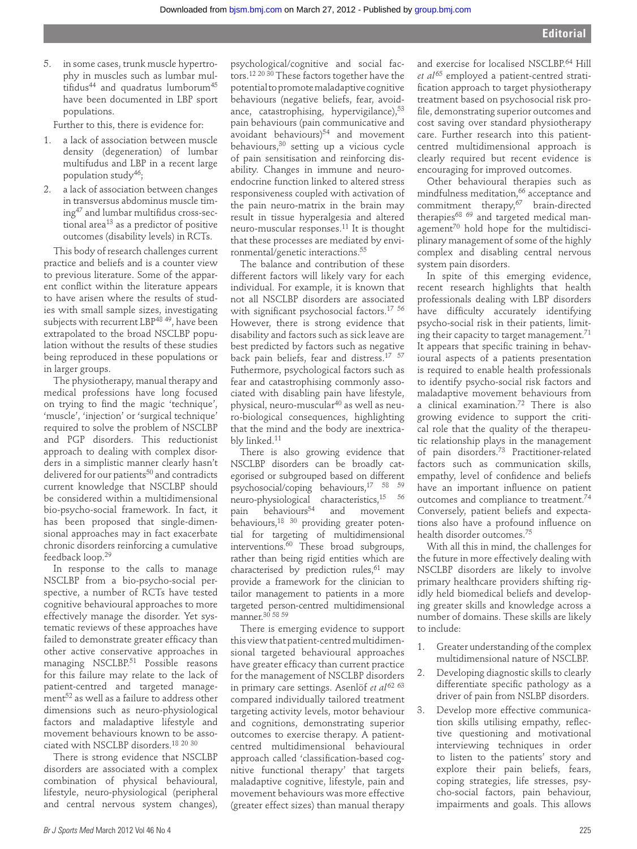5. in some cases, trunk muscle hypertrophy in muscles such as lumbar multifidus<sup>44</sup> and quadratus lumborum<sup>45</sup> have been documented in LBP sport populations.

Further to this, there is evidence for:

- 1. a lack of association between muscle density (degeneration) of lumbar multifudus and LBP in a recent large population study<sup>46</sup>;
- a lack of association between changes in transversus abdominus muscle timing<sup>47</sup> and lumbar multifidus cross-sectional area $13$  as a predictor of positive outcomes (disability levels) in RCTs.

This body of research challenges current practice and beliefs and is a counter view to previous literature. Some of the apparent conflict within the literature appears to have arisen where the results of studies with small sample sizes, investigating subjects with recurrent LBP<sup>48 49</sup>, have been extrapolated to the broad NSCLBP population without the results of these studies being reproduced in these populations or in larger groups.

The physiotherapy, manual therapy and medical professions have long focused on trying to find the magic 'technique', 'muscle', 'injection' or 'surgical technique' required to solve the problem of NSCLBP and PGP disorders. This reductionist approach to dealing with complex disorders in a simplistic manner clearly hasn't delivered for our patients<sup>50</sup> and contradicts current knowledge that NSCLBP should be considered within a multidimensional bio-psycho-social framework. In fact, it has been proposed that single-dimensional approaches may in fact exacerbate chronic disorders reinforcing a cumulative feedback loop.<sup>29</sup>

In response to the calls to manage NSCLBP from a bio-psycho-social perspective, a number of RCTs have tested cognitive behavioural approaches to more effectively manage the disorder. Yet systematic reviews of these approaches have failed to demonstrate greater efficacy than other active conservative approaches in managing NSCLBP.<sup>51</sup> Possible reasons for this failure may relate to the lack of patient-centred and targeted management<sup>52</sup> as well as a failure to address other dimensions such as neuro-physiological factors and maladaptive lifestyle and movement behaviours known to be associated with NSCLBP disorders. 18 20 30

There is strong evidence that NSCLBP disorders are associated with a complex combination of physical behavioural, lifestyle, neuro-physiological (peripheral and central nervous system changes),

psychological/cognitive and social factors.<sup>12 20 30</sup> These factors together have the potential to promote maladaptive cognitive behaviours (negative beliefs, fear, avoidance, catastrophising, hypervigilance),<sup>53</sup> pain behaviours (pain communicative and  $a$ voidant behaviours)<sup>54</sup> and movement behaviours, 30 setting up a vicious cycle of pain sensitisation and reinforcing disability. Changes in immune and neuroendocrine function linked to altered stress responsiveness coupled with activation of the pain neuro-matrix in the brain may result in tissue hyperalgesia and altered neuro-muscular responses. 11 It is thought that these processes are mediated by environmental/genetic interactions. 55

The balance and contribution of these different factors will likely vary for each individual. For example, it is known that not all NSCLBP disorders are associated with significant psychosocial factors.<sup>17 56</sup> However, there is strong evidence that disability and factors such as sick leave are best predicted by factors such as negative back pain beliefs, fear and distress.<sup>17 57</sup> Futhermore, psychological factors such as fear and catastrophising commonly associated with disabling pain have lifestyle, physical, neuro-muscular 40 as well as neuro-biological consequences, highlighting that the mind and the body are inextricably linked.<sup>11</sup>

There is also growing evidence that NSCLBP disorders can be broadly categorised or subgrouped based on different psychosocial/coping behaviours, 17 58 59 neuro-physiological characteristics, <sup>15</sup> <sup>56</sup><br>pain behaviours<sup>54</sup> and movement pain behaviours<sup>54</sup> and movement behaviours,<sup>18 30</sup> providing greater potential for targeting of multidimensional interventions. 60 These broad subgroups, rather than being rigid entities which are characterised by prediction rules, $61$  may provide a framework for the clinician to tailor management to patients in a more targeted person- centred multidimensional manner.<sup>30 58 59</sup>

There is emerging evidence to support this view that patient-centred multidimensional targeted behavioural approaches have greater efficacy than current practice for the management of NSCLBP disorders in primary care settings. Asenlöf *et al* 62 63 compared individually tailored treatment targeting activity levels, motor behaviour and cognitions, demonstrating superior outcomes to exercise therapy. A patientcentred multidimensional behavioural approach called 'classification-based cognitive functional therapy' that targets maladaptive cognitive, lifestyle, pain and movement behaviours was more effective (greater effect sizes) than manual therapy

and exercise for localised NSCLBP.<sup>64</sup> Hill *et al* 65 employed a patient-centred stratification approach to target physiotherapy treatment based on psychosocial risk profile, demonstrating superior outcomes and cost saving over standard physiotherapy care. Further research into this patientcentred multidimensional approach is clearly required but recent evidence is encouraging for improved outcomes.

Other behavioural therapies such as mindfulness meditation, 66 acceptance and commitment therapy,<sup>67</sup> brain-directed therapies $^{68}$   $^{69}$  and targeted medical management<sup>70</sup> hold hope for the multidisciplinary management of some of the highly complex and disabling central nervous system pain disorders.

In spite of this emerging evidence, recent research highlights that health professionals dealing with LBP disorders have difficulty accurately identifying psycho-social risk in their patients, limiting their capacity to target management.<sup>71</sup> It appears that specific training in behavioural aspects of a patients presentation is required to enable health professionals to identify psycho-social risk factors and maladaptive movement behaviours from a clinical examination. $72$  There is also growing evidence to support the critical role that the quality of the therapeutic relationship plays in the management of pain disorders.<sup>73</sup> Practitioner-related factors such as communication skills, empathy, level of confidence and beliefs have an important influence on patient outcomes and compliance to treatment. 74 Conversely, patient beliefs and expectations also have a profound influence on health disorder outcomes. 75

With all this in mind, the challenges for the future in more effectively dealing with NSCLBP disorders are likely to involve primary healthcare providers shifting rigidly held biomedical beliefs and developing greater skills and knowledge across a number of domains. These skills are likely to include:

- 1. Greater understanding of the complex multidimensional nature of NSCLBP.
- 2. Developing diagnostic skills to clearly differentiate specific pathology as a driver of pain from NSLBP disorders.
- 3. Develop more effective communication skills utilising empathy, reflective questioning and motivational interviewing techniques in order to listen to the patients' story and explore their pain beliefs, fears, coping strategies, life stresses, psycho-social factors, pain behaviour, impairments and goals. This allows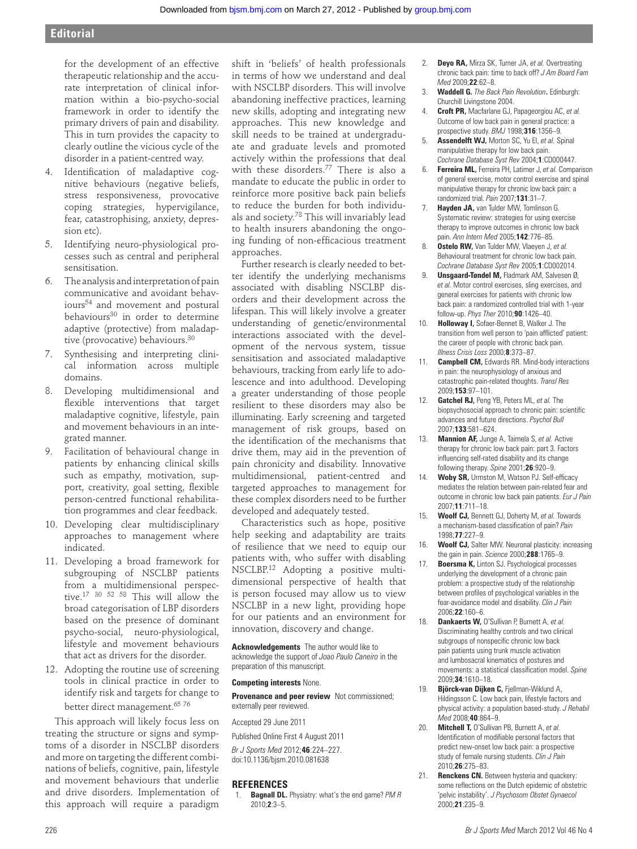for the development of an effective therapeutic relationship and the accurate interpretation of clinical information within a bio-psycho-social framework in order to identify the primary drivers of pain and disability. This in turn provides the capacity to clearly outline the vicious cycle of the disorder in a patient-centred way.

- 4. Identification of maladaptive cognitive behaviours (negative beliefs, stress responsiveness, provocative coping strategies, hypervigilance, fear, catastrophising, anxiety, depression etc).
- 5. Identifying neuro-physiological processes such as central and peripheral sensitisation.
- 6. The analysis and interpretation of pain communicative and avoidant behaviours 54 and movement and postural behaviours<sup>30</sup> in order to determine adaptive (protective) from maladaptive (provocative) behaviours. 30
- 7. Synthesising and interpreting clinical information across multiple domains.
- 8. Developing multidimensional and flexible interventions that target maladaptive cognitive, lifestyle, pain and movement behaviours in an integrated manner.
- 9. Facilitation of behavioural change in patients by enhancing clinical skills such as empathy, motivation, support, creativity, goal setting, flexible person-centred functional rehabilitation programmes and clear feedback.
- 10. Developing clear multidisciplinary approaches to management where indicated.
- 11. Developing a broad framework for subgrouping of NSCLBP patients from a multidimensional perspective.<sup>17 30 52 58</sup> This will allow the broad categorisation of LBP disorders based on the presence of dominant psycho-social, neuro-physiological, lifestyle and movement behaviours that act as drivers for the disorder.
- 12. Adopting the routine use of screening tools in clinical practice in order to identify risk and targets for change to better direct management.<sup>65</sup><sup>76</sup>

This approach will likely focus less on treating the structure or signs and symptoms of a disorder in NSCLBP disorders and more on targeting the different combinations of beliefs, cognitive, pain, lifestyle and movement behaviours that underlie and drive disorders. Implementation of this approach will require a paradigm shift in 'beliefs' of health professionals in terms of how we understand and deal with NSCLBP disorders. This will involve abandoning ineffective practices, learning new skills, adopting and integrating new approaches. This new knowledge and skill needs to be trained at undergraduate and graduate levels and promoted actively within the professions that deal with these disorders.<sup>77</sup> There is also a mandate to educate the public in order to reinforce more positive back pain beliefs to reduce the burden for both individuals and society. 78 This will invariably lead to health insurers abandoning the ongoing funding of non-efficacious treatment approaches.

Further research is clearly needed to better identify the underlying mechanisms associated with disabling NSCLBP disorders and their development across the lifespan. This will likely involve a greater understanding of genetic/environmental interactions associated with the development of the nervous system, tissue sensitisation and associated maladaptive behaviours, tracking from early life to adolescence and into adulthood. Developing a greater understanding of those people resilient to these disorders may also be illuminating. Early screening and targeted management of risk groups, based on the identification of the mechanisms that drive them, may aid in the prevention of pain chronicity and disability. Innovative multidimensional, patient-centred and targeted approaches to management for these complex disorders need to be further developed and adequately tested.

Characteristics such as hope, positive help seeking and adaptability are traits of resilience that we need to equip our patients with, who suffer with disabling NSCLBP.<sup>12</sup> Adopting a positive multidimensional perspective of health that is person focused may allow us to view NSCLBP in a new light, providing hope for our patients and an environment for innovation, discovery and change.

 **Acknowledgements** The author would like to acknowledge the support of *Joao Paulo Caneiro* in the preparation of this manuscript.

#### **Competing interests** None.

**Provenance and peer review** Not commissioned; externally peer reviewed.

Accepted 29 June 2011

Published Online First 4 August 2011

*Br J Sports Med* 2012;**46**:224–227. doi:10.1136/bjsm.2010.081638

### **REFERENCES**

1. **Bagnall DL.** Physiatry: what's the end game? *PM R* 2010 ; **2** : 3 – 5 .

- 2. **Deyo RA,** Mirza SK, Turner JA, *et al.* Overtreating chronic back pain: time to back off? *J Am Board Fam Med* 2009:22:62-8.
- 3. **Waddell G .** *The Back Pain Revolution* **.** Edinburgh: Churchill Livingstone 2004.
- 4. **Croft PR,** Macfarlane GJ, Papageorgiou AC, *et al.* Outcome of low back pain in general practice: a prospective study. *BMJ* 1998 ; **316** : 1356 – 9 .
- 5. **Assendelft WJ,** Morton SC, Yu EI, *et al.* Spinal manipulative therapy for low back pain. *Cochrane Database Syst Rev* 2004 ; **1** :CD000447.
- 6. **Ferreira ML,** Ferreira PH, Latimer J, *et al.* Comparison of general exercise, motor control exercise and spinal manipulative therapy for chronic low back pain: a randomized trial. *Pain* 2007;131:31-7.
- 7. **Hayden JA,** van Tulder MW, Tomlinson G. Systematic review: strategies for using exercise therapy to improve outcomes in chronic low back pain. *Ann Intern Med* 2005 ; **142** : 776 – 85 .
- 8. **Ostelo RW,** Van Tulder MW, Vlaeyen J, *et al.* Behavioural treatment for chronic low back pain. *Cochrane Database Syst Rev* 2005 ; **1** : CD002014 .
- 9. **Unsgaard-Tøndel M,** Fladmark AM, Salvesen Ø, *et al.* Motor control exercises, sling exercises, and general exercises for patients with chronic low back pain: a randomized controlled trial with 1-year follow-up. *Phys Ther* 2010 ; **90** : 1426 – 40 .
- 10. **Holloway I, Sofaer-Bennet B, Walker J. The** transition from well person to 'pain afflicted' patient: the career of people with chronic back pain. *Illness Crisis Loss* 2000; **8** :373–87.
- 11. **Campbell CM,** Edwards RR. Mind-body interactions in pain: the neurophysiology of anxious and catastrophic pain-related thoughts. *Transl Res* 2009 ; **153** : 97 – 101 .
- 12. **Gatchel RJ,** Peng YB, Peters ML, *et al.* The biopsychosocial approach to chronic pain: scientific advances and future directions. *Psychol Bull* 2007 ; **133** : 581 – 624 .
- 13. **Mannion AF,** Junge A, Taimela S, *et al.* Active therapy for chronic low back pain: part 3. Factors influencing self-rated disability and its change following therapy. *Spine* 2001 ; **26** : 920 – 9 .
- 14. **Woby SR, Urmston M, Watson PJ. Self-efficacy** mediates the relation between pain-related fear and outcome in chronic low back pain patients. *Eur J Pain* 2007 ; **11** : 711 – 18 .
- 15. **Woolf CJ,** Bennett GJ, Doherty M, *et al.* Towards a mechanism-based classification of pain? Pain 1998 ; **77** : 227 – 9 .
- 16. **Woolf CJ,** Salter MW. Neuronal plasticity: increasing the gain in pain. *Science* 2000 ; **288** : 1765 – 9 .
- 17. **Boersma K,** Linton SJ. Psychological processes underlying the development of a chronic pain problem: a prospective study of the relationship between profiles of psychological variables in the fear-avoidance model and disability. *Clin J Pain* 2006 ; **22** : 160 – 6 .
- 18. **Dankaerts W,** O'Sullivan P, Burnett A, *et al.* Discriminating healthy controls and two clinical subgroups of nonspecific chronic low back pain patients using trunk muscle activation and lumbosacral kinematics of postures and movements: a statistical classification model. Spine 2009 ; **34** : 1610 – 18 .
- 19. **Björck-van Dijken C,** Fjellman-Wiklund A, Hildingsson C. Low back pain, lifestyle factors and physical activity: a population based-study. *J Rehabil Med* 2008 ; **40** : 864 – 9 .
- 20. **Mitchell T,** O'Sullivan PB, Burnett A, *et al.* Identification of modifiable personal factors that predict new-onset low back pain: a prospective study of female nursing students. *Clin J Pain* 2010 ; **26** : 275 – 83 .
- 21. **Renckens CN.** Between hysteria and quackery: some reflections on the Dutch epidemic of obstetric 'pelvic instability'.*J Psychosom Obstet Gynaecol* 2000 ; **21** : 235 – 9 .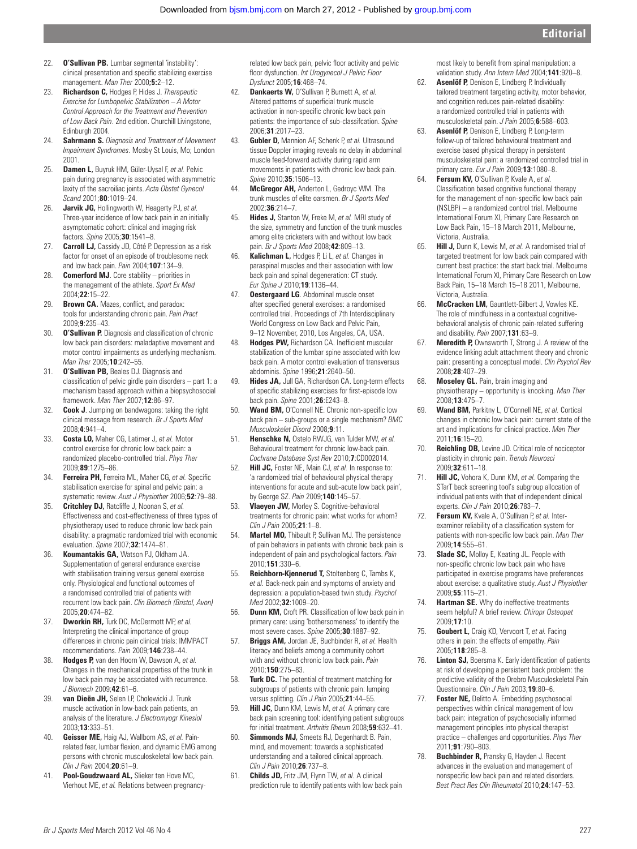- 22. **O'Sullivan PB.** Lumbar segmental 'instability': clinical presentation and specific stabilizing exercise management.*Man Ther*2000 **; 5 :** 2 – 12 .
- 23. **Richardson C, Hodges P, Hides J. Therapeutic** *Exercise for Lumbopelvic Stabilization – A Motor Control Approach for the Treatment and Prevention of Low Back Pain* . 2nd edition. Churchill Livingstone, Edinburgh 2004.
- 24. **Sahrmann S.** Diagnosis and Treatment of Movement *Impairment Syndromes*. Mosby St Louis, Mo; London 2001.
- 25. **Damen L,** Buyruk HM, Güler-Uysal F, *et al.* Pelvic pain during pregnancy is associated with asymmetric laxity of the sacroiliac joints. *Acta Obstet Gynecol Scand* 2001 ; **80** : 1019 – 24 .
- 26. **Jarvik JG,** Hollingworth W, Heagerty PJ, *et al.* Three-year incidence of low back pain in an initially asymptomatic cohort: clinical and imaging risk factors. *Spine* 2005 ; **30** : 1541 – 8 .
- 27. **Carroll LJ,** Cassidy JD, Côté P. Depression as a risk factor for onset of an episode of troublesome neck and low back pain. Pain 2004;107:134-9.
- 28. **Comerford MJ**. Core stability priorities in the management of the athlete. *Sport Ex Med* 2004; **22** :15–22.
- 29. **Brown CA.** Mazes, conflict, and paradox: tools for understanding chronic pain. *Pain Pract* 2009 ; **9** : 235 – 43 .
- 30. **O'Sullivan P.** Diagnosis and classification of chronic low back pain disorders: maladaptive movement and motor control impairments as underlying mechanism. *Man Ther* 2005 ; **10** : 242 – 55 .
- 31. **O'Sullivan PB,** Beales DJ. Diagnosis and classification of pelvic girdle pain disorders  $-$  part 1: a mechanism based approach within a biopsychosocial framework. *Man Ther* 2007 ; **12** : 86 – 97 .
- 32. **Cook J**. Jumping on bandwagons: taking the right clinical message from research. *Br J Sports Med* 2008; **4** :941–4.
- 33. **Costa LO,** Maher CG, Latimer J, *et al.* Motor control exercise for chronic low back pain: a randomized placebo-controlled trial. *Phys Ther* 2009 ; **89** : 1275 – 86 .
- 34. **Ferreira PH,** Ferreira ML, Maher CG, et al. Specific stabilisation exercise for spinal and pelvic pain: a systematic review. Aust J Physiother 2006;52:79-88.
- 35. **Critchley DJ,** Ratcliffe J, Noonan S, *et al.* Effectiveness and cost-effectiveness of three types of physiotherapy used to reduce chronic low back pain disability: a pragmatic randomized trial with economic evaluation. *Spine* 2007 ; **32** : 1474 – 81 .
- 36. **Koumantakis GA,** Watson PJ, Oldham JA. Supplementation of general endurance exercise with stabilisation training versus general exercise only. Physiological and functional outcomes of a randomised controlled trial of patients with recurrent low back pain. *Clin Biomech (Bristol, Avon)* 2005 ; **20** : 474 – 82 .
- 37. **Dworkin RH,** Turk DC, McDermott MP, *et al.* Interpreting the clinical importance of group differences in chronic pain clinical trials: IMMPACT recommendations. *Pain* 2009 ; **146** : 238 – 44 .
- 38. **Hodges P,** van den Hoorn W, Dawson A, *et al.* Changes in the mechanical properties of the trunk in low back pain may be associated with recurrence. *J Biomech* 2009 ; **42** : 61 – 6 .
- 39. **van Dieën JH,** Selen LP, Cholewicki J. Trunk muscle activation in low-back pain patients, an analysis of the literature. *J Electromyogr Kinesiol* 2003 ; **13** : 333 – 51 .
- 40. **Geisser ME,** Haig AJ, Wallbom AS, *et al.* Painrelated fear, lumbar flexion, and dynamic EMG among persons with chronic musculoskeletal low back pain. *Clin J Pain* 2004 ; **20** : 61 – 9 .
- 41. **Pool-Goudzwaard AL,** Slieker ten Hove MC, Vierhout ME, *et al.* Relations between pregnancy-

related low back pain, pelvic floor activity and pelvic floor dysfunction. *Int Urogynecol J Pelvic Floor Dysfunct* 2005 ; **16** : 468 – 74 .

- 42. **Dankaerts W,** O'Sullivan P, Burnett A, *et al.* Altered patterns of superficial trunk muscle activation in non-specific chronic low back pain patients: the importance of sub-classifcation. *Spine* 2006 ; **31** : 2017 – 23 .
- 43. **Gubler D,** Mannion AF, Schenk P, *et al.* Ultrasound tissue Doppler imaging reveals no delay in abdominal muscle feed-forward activity during rapid arm movements in patients with chronic low back pain. *Spine* 2010 ; **35** : 1506 – 13 .
- 44. **McGregor AH,** Anderton L, Gedroyc WM. The trunk muscles of elite oarsmen. *Br J Sports Med*  $2002 \cdot 36 \cdot 214 - 7$
- 45. **Hides J,** Stanton W, Freke M, *et al.* MRI study of the size, symmetry and function of the trunk muscles among elite cricketers with and without low back pain. *Br J Sports Med* 2008; **42**:809-13.
- 46. **Kalichman L,** Hodges P, Li L, *et al.* Changes in paraspinal muscles and their association with low back pain and spinal degeneration: CT study. *Eur Spine J* 2010; **19**:1136-44.
- 47. **Oestergaard LG** . Abdominal muscle onset after specified general exercises: a randomised controlled trial. Proceedings of 7th Interdisciplinary World Congress on Low Back and Pelvic Pain 9–12 November, 2010, Los Angeles, CA, USA.
- 48. **Hodges PW, Richardson CA. Inefficient muscular** stabilization of the lumbar spine associated with low back pain. A motor control evaluation of transversus abdominis. *Spine* 1996 ; **21** : 2640 – 50 .
- 49. **Hides JA,** Jull GA, Richardson CA. Long-term effects of specific stabilizing exercises for first-episode low back pain. *Spine* 2001;26:E243-8.
- 50. **Wand BM,** O'Connell NE. Chronic non-specific low back pain – sub-groups or a single mechanism? *BMC Musculoskelet Disord* 2008;9:11.
- 51. **Henschke N,** Ostelo RWJG, van Tulder MW, *et al.* Behavioural treatment for chronic low-back pain. *Cochrane Database Syst Rev* 2010 ; **7** : CD002014 .
- 52. **Hill JC,** Foster NE, Main CJ, *et al.* In response to: 'a randomized trial of behavioural physical therapy interventions for acute and sub-acute low back pain', by George SZ. *Pain* 2009 ; **140** : 145 – 57 .
- 53. **Vlaeyen JW,** Morley S. Cognitive-behavioral treatments for chronic pain: what works for whom? *Clin J Pain* 2005;21:1-8.
- 54. **Martel MO,** Thibault P, Sullivan MJ. The persistence of pain behaviors in patients with chronic back pain is independent of pain and psychological factors. *Pain* 2010 ; **151** : 330 – 6 .
- 55. **Reichborn-Kjennerud T,** Stoltenberg C, Tambs K, *et al.* Back-neck pain and symptoms of anxiety and depression: a population-based twin study. *Psychol Med* 2002 ; **32** : 1009 – 20 .
- 56. **Dunn KM,** Croft PR. Classification of low back pain in primary care: using 'bothersomeness' to identify the most severe cases. *Spine* 2005 ; **30** : 1887 – 92 .
- 57. **Briggs AM,** Jordan JE, Buchbinder R, *et al.* Health literacy and beliefs among a community cohort with and without chronic low back pain. *Pain* 2010 ; **150** : 275 – 83 .
- 58. **Turk DC.** The potential of treatment matching for subgroups of patients with chronic pain: lumping versus splitting.*Clin J Pain* 2005 ; **21** : 44 – 55 .
- 59. **Hill JC,** Dunn KM, Lewis M, *et al.* A primary care back pain screening tool: identifying patient subgroups for initial treatment. *Arthritis Rheum* 2008 ; **59** : 632 – 41 .
- 60. **Simmonds MJ,** Smeets RJ, Degenhardt B. Pain, mind, and movement: towards a sophisticated understanding and a tailored clinical approach. *Clin J Pain* 2010 ; **26** : 737 – 8 .
- 61. **Childs JD,** Fritz JM, Flynn TW, *et al.* A clinical prediction rule to identify patients with low back pain

most likely to benefit from spinal manipulation: a validation study. Ann Intern Med 2004;141:920-8.

- 62. **Asenlöf P,** Denison E, Lindberg P. Individually tailored treatment targeting activity, motor behavior, and cognition reduces pain-related disability: a randomized controlled trial in patients with musculoskeletal pain. *J Pain* 2005 ; **6** : 588 – 603 .
- 63. **Asenlöf P.** Denison E. Lindberg P. Long-term follow-up of tailored behavioural treatment and exercise based physical therapy in persistent musculoskeletal pain: a randomized controlled trial in primary care. *Eur J Pain* 2009;13:1080-8.
- 64. **Fersum KV,** O'Sullivan P, Kvale A, *et al.* Classification based cognitive functional therapy for the management of non-specific low back pain (NSLBP) – a randomized control trial. Melbourne International Forum XI, Primary Care Research on Low Back Pain, 15–18 March 2011, Melbourne, Victoria, Australia.
- 65. **Hill J,** Dunn K, Lewis M, *et al.* A randomised trial of targeted treatment for low back pain compared with current best practice: the start back trial. Melbourne International Forum XI, Primary Care Research on Low Back Pain, 15–18 March 15–18 2011, Melbourne, Victoria, Australia.
- 66. **McCracken LM,** Gauntlett-Gilbert J, Vowles KE. The role of mindfulness in a contextual cognitivebehavioral analysis of chronic pain-related suffering and disability. Pain 2007;131:63-9.
- 67. **Meredith P,** Ownsworth T, Strong J. A review of the evidence linking adult attachment theory and chronic pain: presenting a conceptual model. *Clin Psychol Rev* 2008 ; **28** : 407 – 29 .
- 68. **Moseley GL.** Pain, brain imaging and physiotherapy – opportunity is knocking. *Man Ther* 2008 ; **13** : 475 – 7 .
- 69. **Wand BM,** Parkitny L, O'Connell NE, *et al.* Cortical changes in chronic low back pain: current state of the art and implications for clinical practice. *Man Ther* 2011 ; **16** : 15 – 20 .
- 70. **Reichling DB,** Levine JD. Critical role of nociceptor plasticity in chronic pain. *Trends Neurosci* 2009 ; **32** : 611 – 18 .
- 71. **Hill JC,** Vohora K, Dunn KM, *et al.* Comparing the STarT back screening tool's subgroup allocation of individual patients with that of independent clinical experts. *Clin J Pain* 2010;26:783-7.
- 72. **Fersum KV**, Kvale A, O'Sullivan P *et al.* Interexaminer reliability of a classification system for patients with non-specific low back pain. Man Ther 2009 ; **14** : 555 – 61 .
- 73. **Slade SC,** Molloy E, Keating JL. People with non-specific chronic low back pain who have participated in exercise programs have preferences about exercise: a qualitative study. *Aust J Physiother* 2009 ; **55** : 115 – 21 .
- 74. **Hartman SE.** Why do ineffective treatments seem helpful? A brief review.*Chiropr Osteopat* 2009 ; **17** : 10 .
- 75. **Goubert L,** Craig KD, Vervoort T, *et al.* Facing others in pain: the effects of empathy. *Pain* 2005 ; **118** : 285 – 8 .
- 76. **Linton SJ,** Boersma K. Early identification of patients at risk of developing a persistent back problem: the predictive validity of the Orebro Musculoskeletal Pain Questionnaire. *Clin J Pain* 2003 ; **19** : 80 – 6 .
- 77. **Foster NE,** Delitto A. Embedding psychosocial perspectives within clinical management of low back pain: integration of psychosocially informed management principles into physical therapist practice – challenges and opportunities. *Phys Ther* 2011 ; **91** : 790 – 803 .
- 78. **Buchbinder R,** Pransky G, Hayden J. Recent advances in the evaluation and management of nonspecific low back pain and related disorders. *Best Pract Res Clin Rheumatol* 2010 ; **24** : 147 – 53 .